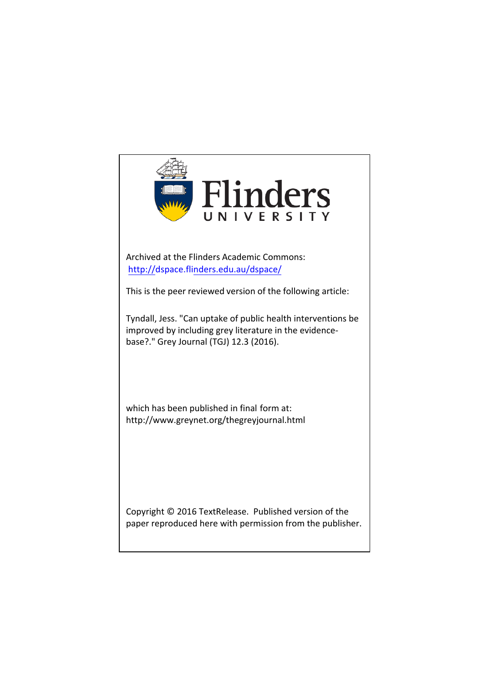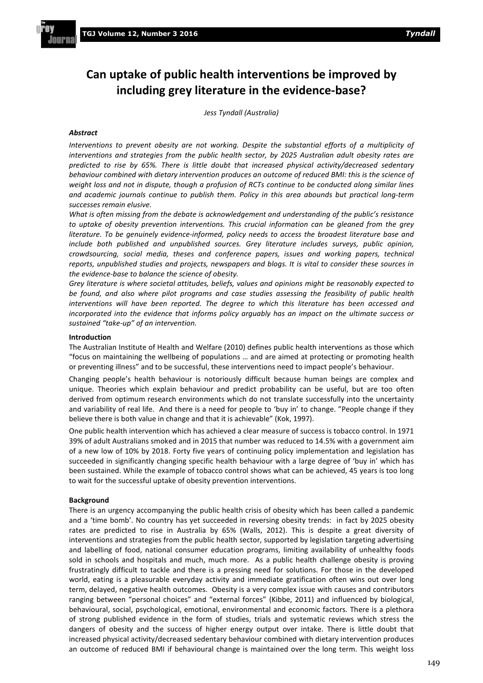# **Can uptake of public health interventions be improved by including grey literature in the evidence-base?**

*Jess Tyndall (Australia)*

# *Abstract*

*Interventions to prevent obesity are not working. Despite the substantial efforts of a multiplicity of interventions and strategies from the public health sector, by 2025 Australian adult obesity rates are predicted to rise by 65%. There is little doubt that increased physical activity/decreased sedentary behaviour combined with dietary intervention produces an outcome of reduced BMI: this is the science of weight loss and not in dispute, though a profusion of RCTs continue to be conducted along similar lines and academic journals continue to publish them. Policy in this area abounds but practical long-term successes remain elusive.*

*What is often missing from the debate is acknowledgement and understanding of the public's resistance to uptake of obesity prevention interventions. This crucial information can be gleaned from the grey literature. To be genuinely evidence-informed, policy needs to access the broadest literature base and include both published and unpublished sources. Grey literature includes surveys, public opinion, crowdsourcing, social media, theses and conference papers, issues and working papers, technical reports, unpublished studies and projects, newspapers and blogs. It is vital to consider these sources in the evidence-base to balance the science of obesity.*

*Grey literature is where societal attitudes, beliefs, values and opinions might be reasonably expected to be found, and also where pilot programs and case studies assessing the feasibility of public health interventions will have been reported. The degree to which this literature has been accessed and incorporated into the evidence that informs policy arguably has an impact on the ultimate success or sustained "take-up" of an intervention.*

## **Introduction**

The Australian Institute of Health and Welfare (2010) defines public health interventions as those which "focus on maintaining the wellbeing of populations … and are aimed at protecting or promoting health or preventing illness" and to be successful, these interventions need to impact people's behaviour.

Changing people's health behaviour is notoriously difficult because human beings are complex and unique. Theories which explain behaviour and predict probability can be useful, but are too often derived from optimum research environments which do not translate successfully into the uncertainty and variability of real life. And there is a need for people to 'buy in' to change. "People change if they believe there is both value in change and that it is achievable" (Kok, 1997).

One public health intervention which has achieved a clear measure of success is tobacco control. In 1971 39% of adult Australians smoked and in 2015 that number was reduced to 14.5% with a government aim of a new low of 10% by 2018. Forty five years of continuing policy implementation and legislation has succeeded in significantly changing specific health behaviour with a large degree of 'buy in' which has been sustained. While the example of tobacco control shows what can be achieved, 45 years is too long to wait for the successful uptake of obesity prevention interventions.

# **Background**

There is an urgency accompanying the public health crisis of obesity which has been called a pandemic and a 'time bomb'. No country has yet succeeded in reversing obesity trends: in fact by 2025 obesity rates are predicted to rise in Australia by 65% (Walls, 2012). This is despite a great diversity of interventions and strategies from the public health sector, supported by legislation targeting advertising and labelling of food, national consumer education programs, limiting availability of unhealthy foods sold in schools and hospitals and much, much more. As a public health challenge obesity is proving frustratingly difficult to tackle and there is a pressing need for solutions. For those in the developed world, eating is a pleasurable everyday activity and immediate gratification often wins out over long term, delayed, negative health outcomes. Obesity is a very complex issue with causes and contributors ranging between "personal choices" and "external forces" (Kibbe, 2011) and influenced by biological, behavioural, social, psychological, emotional, environmental and economic factors. There is a plethora of strong published evidence in the form of studies, trials and systematic reviews which stress the dangers of obesity and the success of higher energy output over intake. There is little doubt that increased physical activity/decreased sedentary behaviour combined with dietary intervention produces an outcome of reduced BMI if behavioural change is maintained over the long term. This weight loss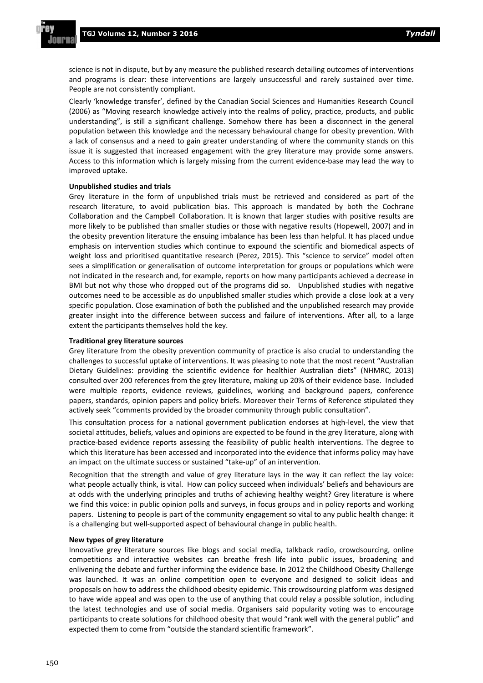science is not in dispute, but by any measure the published research detailing outcomes of interventions and programs is clear: these interventions are largely unsuccessful and rarely sustained over time. People are not consistently compliant.

Clearly 'knowledge transfer', defined by the Canadian Social Sciences and Humanities Research Council (2006) as "Moving research knowledge actively into the realms of policy, practice, products, and public understanding", is still a significant challenge. Somehow there has been a disconnect in the general population between this knowledge and the necessary behavioural change for obesity prevention. With a lack of consensus and a need to gain greater understanding of where the community stands on this issue it is suggested that increased engagement with the grey literature may provide some answers. Access to this information which is largely missing from the current evidence-base may lead the way to improved uptake.

#### **Unpublished studies and trials**

Grey literature in the form of unpublished trials must be retrieved and considered as part of the research literature, to avoid publication bias. This approach is mandated by both the Cochrane Collaboration and the Campbell Collaboration. It is known that larger studies with positive results are more likely to be published than smaller studies or those with negative results (Hopewell, 2007) and in the obesity prevention literature the ensuing imbalance has been less than helpful. It has placed undue emphasis on intervention studies which continue to expound the scientific and biomedical aspects of weight loss and prioritised quantitative research (Perez, 2015). This "science to service" model often sees a simplification or generalisation of outcome interpretation for groups or populations which were not indicated in the research and, for example, reports on how many participants achieved a decrease in BMI but not why those who dropped out of the programs did so. Unpublished studies with negative outcomes need to be accessible as do unpublished smaller studies which provide a close look at a very specific population. Close examination of both the published and the unpublished research may provide greater insight into the difference between success and failure of interventions. After all, to a large extent the participants themselves hold the key.

### **Traditional grey literature sources**

Grey literature from the obesity prevention community of practice is also crucial to understanding the challenges to successful uptake of interventions. It was pleasing to note that the most recent "Australian Dietary Guidelines: providing the scientific evidence for healthier Australian diets" (NHMRC, 2013) consulted over 200 references from the grey literature, making up 20% of their evidence base. Included were multiple reports, evidence reviews, guidelines, working and background papers, conference papers, standards, opinion papers and policy briefs. Moreover their Terms of Reference stipulated they actively seek "comments provided by the broader community through public consultation".

This consultation process for a national government publication endorses at high-level, the view that societal attitudes, beliefs, values and opinions are expected to be found in the grey literature, along with practice-based evidence reports assessing the feasibility of public health interventions. The degree to which this literature has been accessed and incorporated into the evidence that informs policy may have an impact on the ultimate success or sustained "take-up" of an intervention.

Recognition that the strength and value of grey literature lays in the way it can reflect the lay voice: what people actually think, is vital. How can policy succeed when individuals' beliefs and behaviours are at odds with the underlying principles and truths of achieving healthy weight? Grey literature is where we find this voice: in public opinion polls and surveys, in focus groups and in policy reports and working papers. Listening to people is part of the community engagement so vital to any public health change: it is a challenging but well-supported aspect of behavioural change in public health.

## **New types of grey literature**

Innovative grey literature sources like blogs and social media, talkback radio, crowdsourcing, online competitions and interactive websites can breathe fresh life into public issues, broadening and enlivening the debate and further informing the evidence base. In 2012 the Childhood Obesity Challenge was launched. It was an online competition open to everyone and designed to solicit ideas and proposals on how to address the childhood obesity epidemic. This crowdsourcing platform was designed to have wide appeal and was open to the use of anything that could relay a possible solution, including the latest technologies and use of social media. Organisers said popularity voting was to encourage participants to create solutions for childhood obesity that would "rank well with the general public" and expected them to come from "outside the standard scientific framework".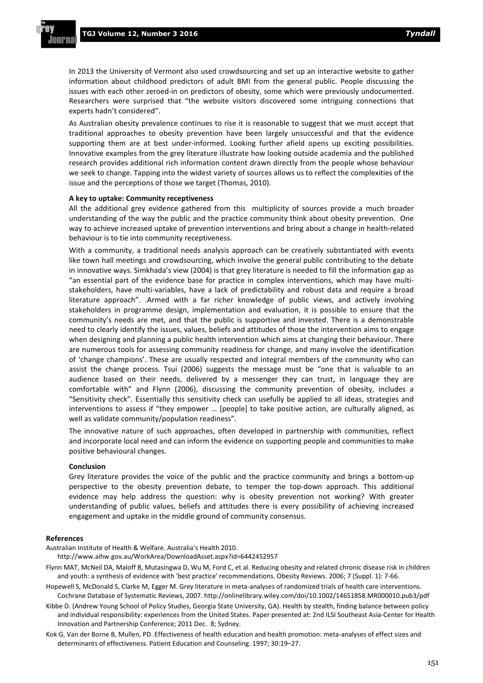In 2013 the University of Vermont also used crowdsourcing and set up an interactive website to gather information about childhood predictors of adult BMI from the general public. People discussing the issues with each other zeroed-in on predictors of obesity, some which were previously undocumented. Researchers were surprised that "the website visitors discovered some intriguing connections that experts hadn't considered".

As Australian obesity prevalence continues to rise it is reasonable to suggest that we must accept that traditional approaches to obesity prevention have been largely unsuccessful and that the evidence supporting them are at best under-informed. Looking further afield opens up exciting possibilities. Innovative examples from the grey literature illustrate how looking outside academia and the published research provides additional rich information content drawn directly from the people whose behaviour we seek to change. Tapping into the widest variety of sources allows us to reflect the complexities of the issue and the perceptions of those we target (Thomas, 2010).

#### **A key to uptake: Community receptiveness**

All the additional grey evidence gathered from this multiplicity of sources provide a much broader understanding of the way the public and the practice community think about obesity prevention. One way to achieve increased uptake of prevention interventions and bring about a change in health-related behaviour is to tie into community receptiveness.

With a community, a traditional needs analysis approach can be creatively substantiated with events like town hall meetings and crowdsourcing, which involve the general public contributing to the debate in innovative ways. Simkhada's view (2004) is that grey literature is needed to fill the information gap as "an essential part of the evidence base for practice in complex interventions, which may have multistakeholders, have multi-variables, have a lack of predictability and robust data and require a broad literature approach". .Armed with a far richer knowledge of public views, and actively involving stakeholders in programme design, implementation and evaluation, it is possible to ensure that the community's needs are met, and that the public is supportive and invested. There is a demonstrable need to clearly identify the issues, values, beliefs and attitudes of those the intervention aims to engage when designing and planning a public health intervention which aims at changing their behaviour. There are numerous tools for assessing community readiness for change, and many involve the identification of 'change champions'. These are usually respected and integral members of the community who can assist the change process. Tsui (2006) suggests the message must be "one that is valuable to an audience based on their needs, delivered by a messenger they can trust, in language they are comfortable with" and Flynn (2006), discussing the community prevention of obesity, includes a "Sensitivity check". Essentially this sensitivity check can usefully be applied to all ideas, strategies and interventions to assess if "they empower … [people] to take positive action, are culturally aligned, as well as validate community/population readiness".

The innovative nature of such approaches, often developed in partnership with communities, reflect and incorporate local need and can inform the evidence on supporting people and communities to make positive behavioural changes.

#### **Conclusion**

Grey literature provides the voice of the public and the practice community and brings a bottom-up perspective to the obesity prevention debate, to temper the top-down approach. This additional evidence may help address the question: why is obesity prevention not working? With greater understanding of public values, beliefs and attitudes there is every possibility of achieving increased engagement and uptake in the middle ground of community consensus.

#### **References**

Australian Institute of Health & Welfare. Australia's Health 2010.

http://www.aihw.gov.au/WorkArea/DownloadAsset.aspx?id=6442452957

- Flynn MAT, McNeil DA, Maloff B, Mutasingwa D, Wu M, Ford C, et al. Reducing obesity and related chronic disease risk in children and youth: a synthesis of evidence with 'best practice' recommendations. Obesity Reviews. 2006; 7 (Suppl. 1): 7-66.
- Hopewell S, McDonald S, Clarke M, Egger M. Grey literature in meta-analyses of randomized trials of health care interventions. Cochrane Database of Systematic Reviews, 2007. http://onlinelibrary.wiley.com/doi/10.1002/14651858.MR000010.pub3/pdf
- Kibbe D. (Andrew Young School of Policy Studies, Georgia State University, GA). Health by stealth, finding balance between policy and individual responsibility: experiences from the United States. Paper presented at: 2nd ILSI Southeast Asia-Center for Health Innovation and Partnership Conference; 2011 Dec. 8; Sydney.
- Kok G, Van der Borne B, Mullen, PD. Effectiveness of health education and health promotion: meta-analyses of effect sizes and determinants of effectiveness. Patient Education and Counseling. 1997; 30:19–27.